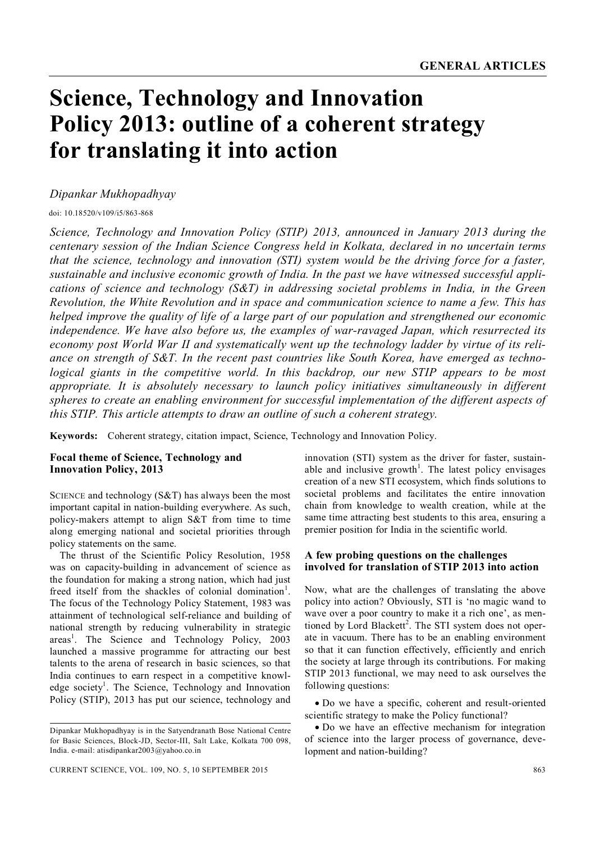# **Science, Technology and Innovation Policy 2013: outline of a coherent strategy for translating it into action**

# *Dipankar Mukhopadhyay*

doi: 10.18520/v109/i5/863-868

*Science, Technology and Innovation Policy (STIP) 2013, announced in January 2013 during the centenary session of the Indian Science Congress held in Kolkata, declared in no uncertain terms that the science, technology and innovation (STI) system would be the driving force for a faster, sustainable and inclusive economic growth of India. In the past we have witnessed successful applications of science and technology (S&T) in addressing societal problems in India, in the Green Revolution, the White Revolution and in space and communication science to name a few. This has helped improve the quality of life of a large part of our population and strengthened our economic independence. We have also before us, the examples of war-ravaged Japan, which resurrected its economy post World War II and systematically went up the technology ladder by virtue of its reliance on strength of S&T. In the recent past countries like South Korea, have emerged as technological giants in the competitive world. In this backdrop, our new STIP appears to be most appropriate. It is absolutely necessary to launch policy initiatives simultaneously in different spheres to create an enabling environment for successful implementation of the different aspects of this STIP. This article attempts to draw an outline of such a coherent strategy.*

**Keywords:** Coherent strategy, citation impact, Science, Technology and Innovation Policy.

# **Focal theme of Science, Technology and Innovation Policy, 2013**

SCIENCE and technology (S&T) has always been the most important capital in nation-building everywhere. As such, policy-makers attempt to align S&T from time to time along emerging national and societal priorities through policy statements on the same.

The thrust of the Scientific Policy Resolution, 1958 was on capacity-building in advancement of science as the foundation for making a strong nation, which had just freed itself from the shackles of colonial domination<sup>1</sup>. The focus of the Technology Policy Statement, 1983 was attainment of technological self-reliance and building of national strength by reducing vulnerability in strategic areas<sup>1</sup>. The Science and Technology Policy, 2003 launched a massive programme for attracting our best talents to the arena of research in basic sciences, so that India continues to earn respect in a competitive knowledge society<sup>1</sup>. The Science, Technology and Innovation Policy (STIP), 2013 has put our science, technology and

innovation (STI) system as the driver for faster, sustainable and inclusive growth<sup>1</sup>. The latest policy envisages creation of a new STI ecosystem, which finds solutions to societal problems and facilitates the entire innovation chain from knowledge to wealth creation, while at the same time attracting best students to this area, ensuring a premier position for India in the scientific world.

### **A few probing questions on the challenges involved for translation of STIP 2013 into action**

Now, what are the challenges of translating the above policy into action? Obviously, STI is 'no magic wand to wave over a poor country to make it a rich one', as mentioned by Lord Blackett<sup>2</sup>. The STI system does not operate in vacuum. There has to be an enabling environment so that it can function effectively, efficiently and enrich the society at large through its contributions. For making STIP 2013 functional, we may need to ask ourselves the following questions:

 Do we have a specific, coherent and result-oriented scientific strategy to make the Policy functional?

 Do we have an effective mechanism for integration of science into the larger process of governance, development and nation-building?

Dipankar Mukhopadhyay is in the Satyendranath Bose National Centre for Basic Sciences, Block-JD, Sector-III, Salt Lake, Kolkata 700 098, India. e-mail: atisdipankar2003@yahoo.co.in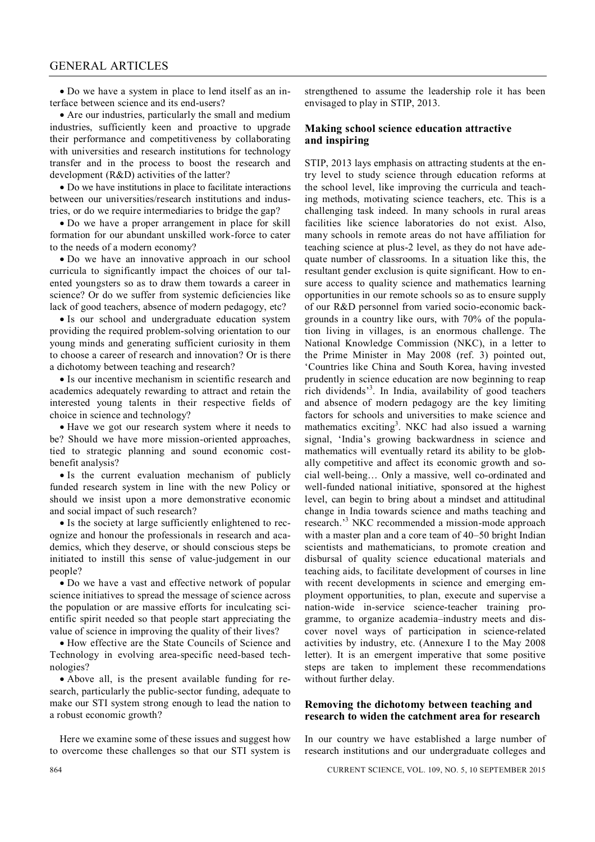Do we have a system in place to lend itself as an interface between science and its end-users?

 Are our industries, particularly the small and medium industries, sufficiently keen and proactive to upgrade their performance and competitiveness by collaborating with universities and research institutions for technology transfer and in the process to boost the research and development (R&D) activities of the latter?

 Do we have institutions in place to facilitate interactions between our universities/research institutions and industries, or do we require intermediaries to bridge the gap?

 Do we have a proper arrangement in place for skill formation for our abundant unskilled work-force to cater to the needs of a modern economy?

 Do we have an innovative approach in our school curricula to significantly impact the choices of our talented youngsters so as to draw them towards a career in science? Or do we suffer from systemic deficiencies like lack of good teachers, absence of modern pedagogy, etc?

• Is our school and undergraduate education system providing the required problem-solving orientation to our young minds and generating sufficient curiosity in them to choose a career of research and innovation? Or is there a dichotomy between teaching and research?

 Is our incentive mechanism in scientific research and academics adequately rewarding to attract and retain the interested young talents in their respective fields of choice in science and technology?

 Have we got our research system where it needs to be? Should we have more mission-oriented approaches, tied to strategic planning and sound economic costbenefit analysis?

 Is the current evaluation mechanism of publicly funded research system in line with the new Policy or should we insist upon a more demonstrative economic and social impact of such research?

• Is the society at large sufficiently enlightened to recognize and honour the professionals in research and academics, which they deserve, or should conscious steps be initiated to instill this sense of value-judgement in our people?

 Do we have a vast and effective network of popular science initiatives to spread the message of science across the population or are massive efforts for inculcating scientific spirit needed so that people start appreciating the value of science in improving the quality of their lives?

 How effective are the State Councils of Science and Technology in evolving area-specific need-based technologies?

 Above all, is the present available funding for research, particularly the public-sector funding, adequate to make our STI system strong enough to lead the nation to a robust economic growth?

Here we examine some of these issues and suggest how to overcome these challenges so that our STI system is strengthened to assume the leadership role it has been envisaged to play in STIP, 2013.

#### **Making school science education attractive and inspiring**

STIP, 2013 lays emphasis on attracting students at the entry level to study science through education reforms at the school level, like improving the curricula and teaching methods, motivating science teachers, etc. This is a challenging task indeed. In many schools in rural areas facilities like science laboratories do not exist. Also, many schools in remote areas do not have affiliation for teaching science at plus-2 level, as they do not have adequate number of classrooms. In a situation like this, the resultant gender exclusion is quite significant. How to ensure access to quality science and mathematics learning opportunities in our remote schools so as to ensure supply of our R&D personnel from varied socio-economic backgrounds in a country like ours, with 70% of the population living in villages, is an enormous challenge. The National Knowledge Commission (NKC), in a letter to the Prime Minister in May 2008 (ref. 3) pointed out, 'Countries like China and South Korea, having invested prudently in science education are now beginning to reap rich dividends' 3 . In India, availability of good teachers and absence of modern pedagogy are the key limiting factors for schools and universities to make science and mathematics exciting<sup>3</sup>. NKC had also issued a warning signal, 'India's growing backwardness in science and mathematics will eventually retard its ability to be globally competitive and affect its economic growth and social well-being… Only a massive, well co-ordinated and well-funded national initiative, sponsored at the highest level, can begin to bring about a mindset and attitudinal change in India towards science and maths teaching and research.<sup>3</sup> NKC recommended a mission-mode approach with a master plan and a core team of 40–50 bright Indian scientists and mathematicians, to promote creation and disbursal of quality science educational materials and teaching aids, to facilitate development of courses in line with recent developments in science and emerging employment opportunities, to plan, execute and supervise a nation-wide in-service science-teacher training programme, to organize academia–industry meets and discover novel ways of participation in science-related activities by industry, etc. (Annexure I to the May 2008 letter). It is an emergent imperative that some positive steps are taken to implement these recommendations without further delay.

### **Removing the dichotomy between teaching and research to widen the catchment area for research**

In our country we have established a large number of research institutions and our undergraduate colleges and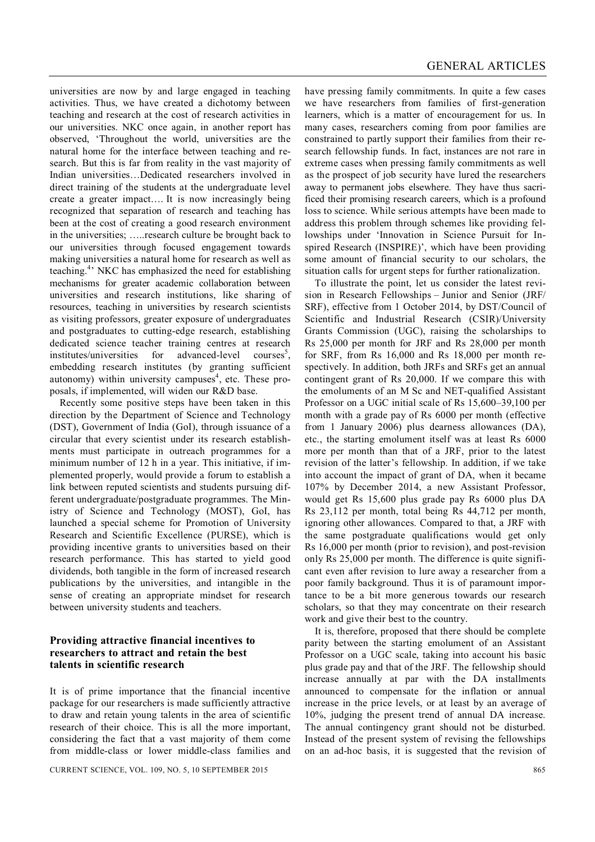universities are now by and large engaged in teaching activities. Thus, we have created a dichotomy between teaching and research at the cost of research activities in our universities. NKC once again, in another report has observed, 'Throughout the world, universities are the natural home for the interface between teaching and research. But this is far from reality in the vast majority of Indian universities…Dedicated researchers involved in direct training of the students at the undergraduate level create a greater impact…. It is now increasingly being recognized that separation of research and teaching has been at the cost of creating a good research environment in the universities; …..research culture be brought back to our universities through focused engagement towards making universities a natural home for research as well as teaching.<sup>4</sup> NKC has emphasized the need for establishing mechanisms for greater academic collaboration between universities and research institutions, like sharing of resources, teaching in universities by research scientists as visiting professors, greater exposure of undergraduates and postgraduates to cutting-edge research, establishing dedicated science teacher training centres at research institutes/universities for advanced-level  $course<sup>5</sup>$ , embedding research institutes (by granting sufficient autonomy) within university campuses<sup>4</sup>, etc. These proposals, if implemented, will widen our R&D base.

Recently some positive steps have been taken in this direction by the Department of Science and Technology (DST), Government of India (GoI), through issuance of a circular that every scientist under its research establishments must participate in outreach programmes for a minimum number of 12 h in a year. This initiative, if implemented properly, would provide a forum to establish a link between reputed scientists and students pursuing different undergraduate/postgraduate programmes. The Ministry of Science and Technology (MOST), GoI, has launched a special scheme for Promotion of University Research and Scientific Excellence (PURSE), which is providing incentive grants to universities based on their research performance. This has started to yield good dividends, both tangible in the form of increased research publications by the universities, and intangible in the sense of creating an appropriate mindset for research between university students and teachers.

## **Providing attractive financial incentives to researchers to attract and retain the best talents in scientific research**

It is of prime importance that the financial incentive package for our researchers is made sufficiently attractive to draw and retain young talents in the area of scientific research of their choice. This is all the more important, considering the fact that a vast majority of them come from middle-class or lower middle-class families and have pressing family commitments. In quite a few cases we have researchers from families of first-generation learners, which is a matter of encouragement for us. In many cases, researchers coming from poor families are constrained to partly support their families from their research fellowship funds. In fact, instances are not rare in extreme cases when pressing family commitments as well as the prospect of job security have lured the researchers away to permanent jobs elsewhere. They have thus sacrificed their promising research careers, which is a profound loss to science. While serious attempts have been made to address this problem through schemes like providing fellowships under 'Innovation in Science Pursuit for Inspired Research (INSPIRE)', which have been providing some amount of financial security to our scholars, the situation calls for urgent steps for further rationalization.

To illustrate the point, let us consider the latest revision in Research Fellowships – Junior and Senior (JRF/ SRF), effective from 1 October 2014, by DST/Council of Scientific and Industrial Research (CSIR)/University Grants Commission (UGC), raising the scholarships to Rs 25,000 per month for JRF and Rs 28,000 per month for SRF, from Rs 16,000 and Rs 18,000 per month respectively. In addition, both JRFs and SRFs get an annual contingent grant of Rs 20,000. If we compare this with the emoluments of an M Sc and NET-qualified Assistant Professor on a UGC initial scale of Rs 15,600–39,100 per month with a grade pay of Rs 6000 per month (effective from 1 January 2006) plus dearness allowances (DA), etc., the starting emolument itself was at least Rs 6000 more per month than that of a JRF, prior to the latest revision of the latter's fellowship. In addition, if we take into account the impact of grant of DA, when it became 107% by December 2014, a new Assistant Professor, would get Rs 15,600 plus grade pay Rs 6000 plus DA Rs 23,112 per month, total being Rs 44,712 per month, ignoring other allowances. Compared to that, a JRF with the same postgraduate qualifications would get only Rs 16,000 per month (prior to revision), and post-revision only Rs 25,000 per month. The difference is quite significant even after revision to lure away a researcher from a poor family background. Thus it is of paramount importance to be a bit more generous towards our research scholars, so that they may concentrate on their research work and give their best to the country.

It is, therefore, proposed that there should be complete parity between the starting emolument of an Assistant Professor on a UGC scale, taking into account his basic plus grade pay and that of the JRF. The fellowship should increase annually at par with the DA installments announced to compensate for the inflation or annual increase in the price levels, or at least by an average of 10%, judging the present trend of annual DA increase. The annual contingency grant should not be disturbed. Instead of the present system of revising the fellowships on an ad-hoc basis, it is suggested that the revision of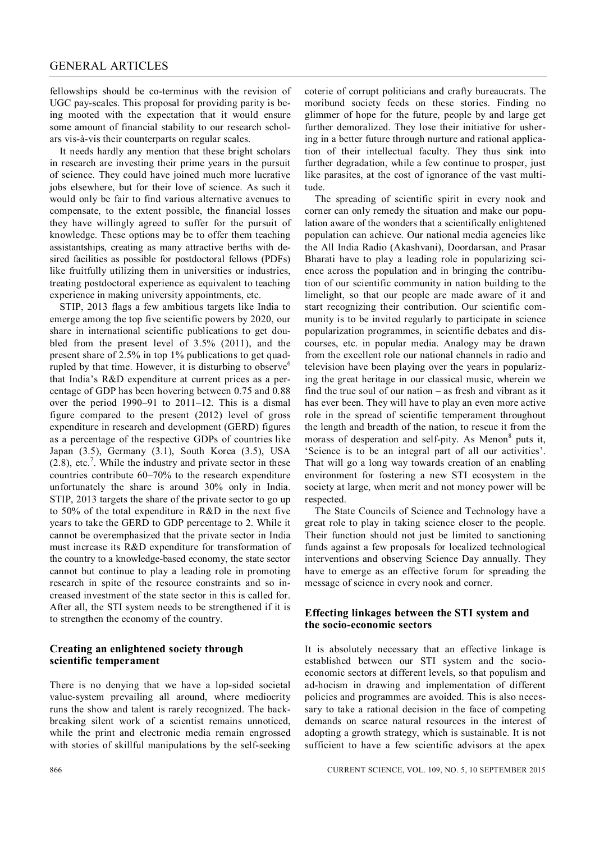### GENERAL ARTICLES

fellowships should be co-terminus with the revision of UGC pay-scales. This proposal for providing parity is being mooted with the expectation that it would ensure some amount of financial stability to our research scholars vis-à-vis their counterparts on regular scales.

It needs hardly any mention that these bright scholars in research are investing their prime years in the pursuit of science. They could have joined much more lucrative jobs elsewhere, but for their love of science. As such it would only be fair to find various alternative avenues to compensate, to the extent possible, the financial losses they have willingly agreed to suffer for the pursuit of knowledge. These options may be to offer them teaching assistantships, creating as many attractive berths with desired facilities as possible for postdoctoral fellows (PDFs) like fruitfully utilizing them in universities or industries, treating postdoctoral experience as equivalent to teaching experience in making university appointments, etc.

STIP, 2013 flags a few ambitious targets like India to emerge among the top five scientific powers by 2020, our share in international scientific publications to get doubled from the present level of 3.5% (2011), and the present share of 2.5% in top 1% publications to get quadrupled by that time. However, it is disturbing to observe<sup>6</sup> that India's R&D expenditure at current prices as a percentage of GDP has been hovering between 0.75 and 0.88 over the period 1990–91 to 2011–12. This is a dismal figure compared to the present (2012) level of gross expenditure in research and development (GERD) figures as a percentage of the respective GDPs of countries like Japan (3.5), Germany (3.1), South Korea (3.5), USA  $(2.8)$ , etc.<sup>7</sup>. While the industry and private sector in these countries contribute 60–70% to the research expenditure unfortunately the share is around 30% only in India. STIP, 2013 targets the share of the private sector to go up to 50% of the total expenditure in R&D in the next five years to take the GERD to GDP percentage to 2. While it cannot be overemphasized that the private sector in India must increase its R&D expenditure for transformation of the country to a knowledge-based economy, the state sector cannot but continue to play a leading role in promoting research in spite of the resource constraints and so increased investment of the state sector in this is called for. After all, the STI system needs to be strengthened if it is to strengthen the economy of the country.

### **Creating an enlightened society through scientific temperament**

There is no denying that we have a lop-sided societal value-system prevailing all around, where mediocrity runs the show and talent is rarely recognized. The backbreaking silent work of a scientist remains unnoticed, while the print and electronic media remain engrossed with stories of skillful manipulations by the self-seeking

coterie of corrupt politicians and crafty bureaucrats. The moribund society feeds on these stories. Finding no glimmer of hope for the future, people by and large get further demoralized. They lose their initiative for ushering in a better future through nurture and rational application of their intellectual faculty. They thus sink into further degradation, while a few continue to prosper, just like parasites, at the cost of ignorance of the vast multitude.

The spreading of scientific spirit in every nook and corner can only remedy the situation and make our population aware of the wonders that a scientifically enlightened population can achieve. Our national media agencies like the All India Radio (Akashvani), Doordarsan, and Prasar Bharati have to play a leading role in popularizing science across the population and in bringing the contribution of our scientific community in nation building to the limelight, so that our people are made aware of it and start recognizing their contribution. Our scientific community is to be invited regularly to participate in science popularization programmes, in scientific debates and discourses, etc. in popular media. Analogy may be drawn from the excellent role our national channels in radio and television have been playing over the years in popularizing the great heritage in our classical music, wherein we find the true soul of our nation – as fresh and vibrant as it has ever been. They will have to play an even more active role in the spread of scientific temperament throughout the length and breadth of the nation, to rescue it from the morass of desperation and self-pity. As Menon<sup>8</sup> puts it, 'Science is to be an integral part of all our activities'. That will go a long way towards creation of an enabling environment for fostering a new STI ecosystem in the society at large, when merit and not money power will be respected.

The State Councils of Science and Technology have a great role to play in taking science closer to the people. Their function should not just be limited to sanctioning funds against a few proposals for localized technological interventions and observing Science Day annually. They have to emerge as an effective forum for spreading the message of science in every nook and corner.

### **Effecting linkages between the STI system and the socio-economic sectors**

It is absolutely necessary that an effective linkage is established between our STI system and the socioeconomic sectors at different levels, so that populism and ad-hocism in drawing and implementation of different policies and programmes are avoided. This is also necessary to take a rational decision in the face of competing demands on scarce natural resources in the interest of adopting a growth strategy, which is sustainable. It is not sufficient to have a few scientific advisors at the apex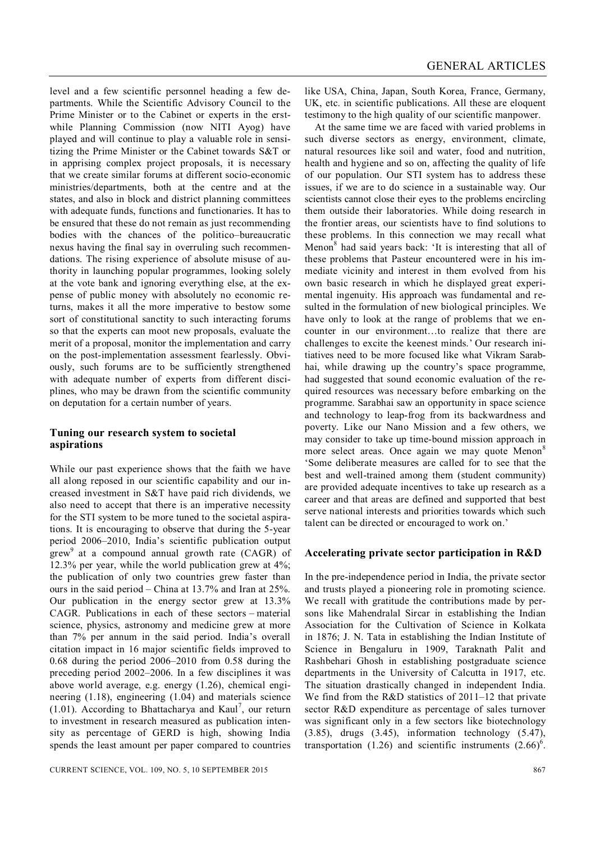level and a few scientific personnel heading a few departments. While the Scientific Advisory Council to the Prime Minister or to the Cabinet or experts in the erstwhile Planning Commission (now NITI Ayog) have played and will continue to play a valuable role in sensitizing the Prime Minister or the Cabinet towards S&T or in apprising complex project proposals, it is necessary that we create similar forums at different socio-economic ministries/departments, both at the centre and at the states, and also in block and district planning committees with adequate funds, functions and functionaries. It has to be ensured that these do not remain as just recommending bodies with the chances of the politico–bureaucratic nexus having the final say in overruling such recommendations. The rising experience of absolute misuse of authority in launching popular programmes, looking solely at the vote bank and ignoring everything else, at the expense of public money with absolutely no economic returns, makes it all the more imperative to bestow some sort of constitutional sanctity to such interacting forums so that the experts can moot new proposals, evaluate the merit of a proposal, monitor the implementation and carry on the post-implementation assessment fearlessly. Obviously, such forums are to be sufficiently strengthened with adequate number of experts from different disciplines, who may be drawn from the scientific community on deputation for a certain number of years.

### **Tuning our research system to societal aspirations**

While our past experience shows that the faith we have all along reposed in our scientific capability and our increased investment in S&T have paid rich dividends, we also need to accept that there is an imperative necessity for the STI system to be more tuned to the societal aspirations. It is encouraging to observe that during the 5-year period 2006–2010, India's scientific publication output  $grew<sup>9</sup>$  at a compound annual growth rate (CAGR) of 12.3% per year, while the world publication grew at 4%; the publication of only two countries grew faster than ours in the said period – China at 13.7% and Iran at 25%. Our publication in the energy sector grew at 13.3% CAGR. Publications in each of these sectors – material science, physics, astronomy and medicine grew at more than 7% per annum in the said period. India's overall citation impact in 16 major scientific fields improved to 0.68 during the period 2006–2010 from 0.58 during the preceding period 2002–2006. In a few disciplines it was above world average, e.g. energy (1.26), chemical engineering (1.18), engineering (1.04) and materials science  $(1.01)$ . According to Bhattacharya and Kaul<sup>7</sup>, our return to investment in research measured as publication intensity as percentage of GERD is high, showing India spends the least amount per paper compared to countries

like USA, China, Japan, South Korea, France, Germany, UK, etc. in scientific publications. All these are eloquent testimony to the high quality of our scientific manpower.

At the same time we are faced with varied problems in such diverse sectors as energy, environment, climate, natural resources like soil and water, food and nutrition, health and hygiene and so on, affecting the quality of life of our population. Our STI system has to address these issues, if we are to do science in a sustainable way. Our scientists cannot close their eyes to the problems encircling them outside their laboratories. While doing research in the frontier areas, our scientists have to find solutions to these problems. In this connection we may recall what Menon<sup>8</sup> had said years back: 'It is interesting that all of these problems that Pasteur encountered were in his immediate vicinity and interest in them evolved from his own basic research in which he displayed great experimental ingenuity. His approach was fundamental and resulted in the formulation of new biological principles. We have only to look at the range of problems that we encounter in our environment…to realize that there are challenges to excite the keenest minds.' Our research initiatives need to be more focused like what Vikram Sarabhai, while drawing up the country's space programme, had suggested that sound economic evaluation of the required resources was necessary before embarking on the programme. Sarabhai saw an opportunity in space science and technology to leap-frog from its backwardness and poverty. Like our Nano Mission and a few others, we may consider to take up time-bound mission approach in more select areas. Once again we may quote Menon<sup>8</sup> 'Some deliberate measures are called for to see that the best and well-trained among them (student community) are provided adequate incentives to take up research as a career and that areas are defined and supported that best serve national interests and priorities towards which such talent can be directed or encouraged to work on.'

#### **Accelerating private sector participation in R&D**

In the pre-independence period in India, the private sector and trusts played a pioneering role in promoting science. We recall with gratitude the contributions made by persons like Mahendralal Sircar in establishing the Indian Association for the Cultivation of Science in Kolkata in 1876; J. N. Tata in establishing the Indian Institute of Science in Bengaluru in 1909, Taraknath Palit and Rashbehari Ghosh in establishing postgraduate science departments in the University of Calcutta in 1917, etc. The situation drastically changed in independent India. We find from the R&D statistics of 2011–12 that private sector R&D expenditure as percentage of sales turnover was significant only in a few sectors like biotechnology (3.85), drugs (3.45), information technology (5.47), transportation (1.26) and scientific instruments  $(2.66)^6$ .